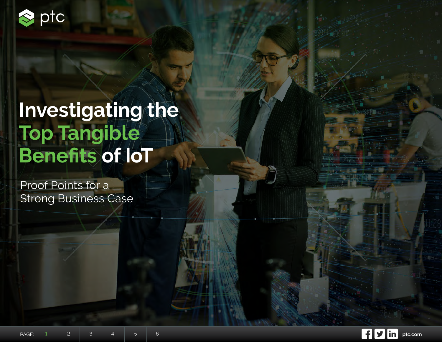<span id="page-0-0"></span>

# **Investigating the Top Tangible Benefits of IoT**

Proof Points for a Strong Business Case

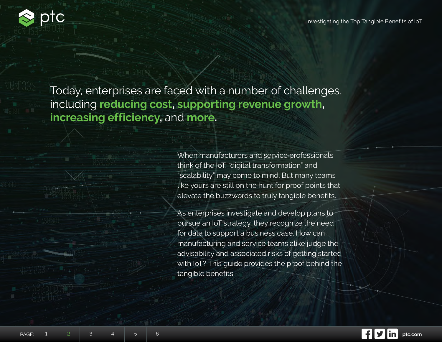<span id="page-1-0"></span>

Today, enterprises are faced with a number of challenges, including **reducing cost, supporting revenue growth, increasing efficiency,** and **more.**

> When manufacturers and service professionals think of the IoT, "digital transformation" and "scalability" may come to mind. But many teams like yours are still on the hunt for proof points that elevate the buzzwords to truly tangible benefits.

As enterprises investigate and develop plans to pursue an IoT strategy, they recognize the need for data to support a business case. How can manufacturing and service teams alike judge the advisability and associated risks of getting started with IoT? This guide provides the proof behind the tangible benefits.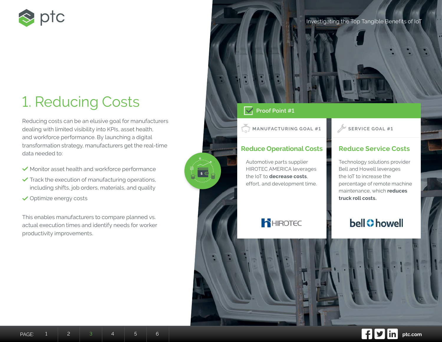<span id="page-2-0"></span>

# 1. Reducing Costs

Reducing costs can be an elusive goal for manufacturers dealing with limited visibility into KPIs, asset health, and workforce performance. By launching a digital transformation strategy, manufacturers get the real-time data needed to:

- $\checkmark$  Monitor asset health and workforce performance
- $\checkmark$  Track the execution of manufacturing operations, including shifts, job orders, materials, and quality
- **◆ Optimize energy costs**

This enables manufacturers to compare planned vs. actual execution times and identify needs for worker productivity improvements.



# **V** Proof Point #1

 $s \in$ 

**MANUFACTURING GOAL #1** SERVICE GOAL #1

# **Reduce Operational Costs**

Automotive parts supplier HIROTEC AMERICA leverages the IoT to **decrease costs**, effort, and development time.

# **Reduce Service Costs**

Technology solutions provider Bell and Howell leverages the IoT to increase the percentage of remote machine maintenance, which **reduces truck roll costs.**

# **D**HIROTEC

**bell Chowell** 

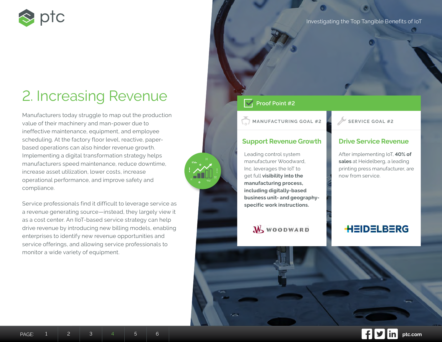<span id="page-3-0"></span>

# 2. Increasing Revenue

Manufacturers today struggle to map out the production value of their machinery and man-power due to ineffective maintenance, equipment, and employee scheduling. At the factory floor level, reactive, paperbased operations can also hinder revenue growth. Implementing a digital transformation strategy helps manufacturers speed maintenance, reduce downtime, increase asset utilization, lower costs, increase operational performance, and improve safety and compliance.

Service professionals find it difficult to leverage service as a revenue generating source—instead, they largely view it as a cost center. An IIoT-based service strategy can help drive revenue by introducing new billing models, enabling enterprises to identify new revenue opportunities and service offerings, and allowing service professionals to monitor a wide variety of equipment.

Investigating the Top Tangible Benefits of IoT

# **Proof Point #2**

**MANUFACTURING GOAL #2 SERVICE GOAL #2**

# **Support Revenue Growth**

Leading control system manufacturer Woodward, Inc. leverages the IoT to get full **visibility into the manufacturing process, including digitally-based business unit- and geographyspecific work instructions.** 

**W** WOODWARD

# **Drive Service Revenue**

After implementing IoT, **40% of sales** at Heidelberg, a leading printing press manufacturer, are now from service.

# **HEIDELBERG**

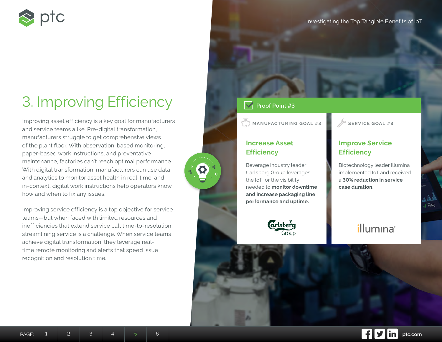<span id="page-4-0"></span>

# 3. Improving Efficiency

Improving asset efficiency is a key goal for manufacturers and service teams alike. Pre-digital transformation, manufacturers struggle to get comprehensive views of the plant floor. With observation-based monitoring, paper-based work instructions, and preventative maintenance, factories can't reach optimal performance. With digital transformation, manufacturers can use data and analytics to monitor asset health in real-time, and in-context, digital work instructions help operators know how and when to fix any issues.

Improving service efficiency is a top objective for service teams—but when faced with limited resources and inefficiencies that extend service call time-to-resolution, streamlining service is a challenge. When service teams achieve digital transformation, they leverage realtime remote monitoring and alerts that speed issue recognition and resolution time.

# **Proof Point #3**

**MANUFACTURING GOAL #3 SERVICE GOAL #3**

# **Increase Asset Efficiency**

Beverage industry leader Carlsberg Group leverages the IoT for the visibility needed to **monitor downtime and increase packaging line performance and uptime.** 



# **Improve Service Efficiency**

Biotechnology leader Illumina implemented IoT and received a **30% reduction in service case duration.**

illumina®

**Sni**